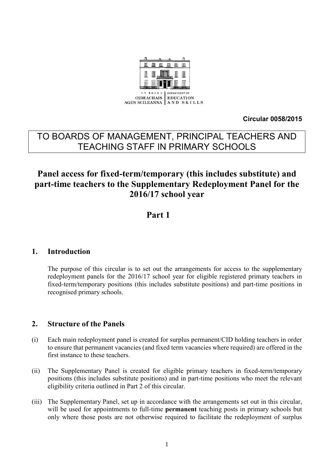

**Circular 0058/2015**

# TO BOARDS OF MANAGEMENT, PRINCIPAL TEACHERS AND TEACHING STAFF IN PRIMARY SCHOOLS

# **Panel access for fixed-term/temporary (this includes substitute) and part-time teachers to the Supplementary Redeployment Panel for the 2016/17 school year**

# **Part 1**

# **1. Introduction**

The purpose of this circular is to set out the arrangements for access to the supplementary redeployment panels for the 2016/17 school year for eligible registered primary teachers in fixed-term/temporary positions (this includes substitute positions) and part-time positions in recognised primary schools.

# **2. Structure of the Panels**

- (i) Each main redeployment panel is created for surplus permanent/CID holding teachers in order to ensure that permanent vacancies (and fixed term vacancies where required) are offered in the first instance to these teachers.
- (ii) The Supplementary Panel is created for eligible primary teachers in fixed-term/temporary positions (this includes substitute positions) and in part-time positions who meet the relevant eligibility criteria outlined in Part 2 of this circular.
- (iii) The Supplementary Panel, set up in accordance with the arrangements set out in this circular, will be used for appointments to full-time **permanent** teaching posts in primary schools but only where those posts are not otherwise required to facilitate the redeployment of surplus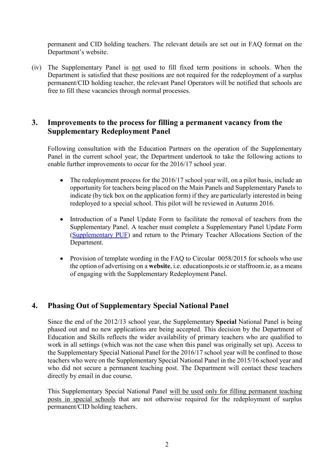permanent and CID holding teachers. The relevant details are set out in FAQ format on the Department's website.

(iv) The Supplementary Panel is not used to fill fixed term positions in schools. When the Department is satisfied that these positions are not required for the redeployment of a surplus permanent/CID holding teacher, the relevant Panel Operators will be notified that schools are free to fill these vacancies through normal processes.

## **3. Improvements to the process for filling a permanent vacancy from the Supplementary Redeployment Panel**

Following consultation with the Education Partners on the operation of the Supplementary Panel in the current school year, the Department undertook to take the following actions to enable further improvements to occur for the 2016/17 school year.

- The redeployment process for the 2016/17 school year will, on a pilot basis, include an opportunity for teachers being placed on the Main Panels and Supplementary Panels to indicate (by tick box on the application form) if they are particularly interested in being redeployed to a special school. This pilot will be reviewed in Autumn 2016.
- Introduction of a Panel Update Form to facilitate the removal of teachers from the Supplementary Panel. A teacher must complete a Supplementary Panel Update Form [\(Supplementary PUF\)](http://www.education.ie/en/Schools-Colleges/Services/Teacher-Allocations/Teacher-Allocation/Supplementary-Panel-Update-Form-2016-17-Form-PUF-.pdf) and return to the Primary Teacher Allocations Section of the Department.
- Provision of template wording in the FAQ to Circular 0058/2015 for schools who use the option of advertising on a **website**, i.e. educationposts.ie or staffroom.ie, as a means of engaging with the Supplementary Redeployment Panel.

# **4. Phasing Out of Supplementary Special National Panel**

Since the end of the 2012/13 school year, the Supplementary **Special** National Panel is being phased out and no new applications are being accepted. This decision by the Department of Education and Skills reflects the wider availability of primary teachers who are qualified to work in all settings (which was not the case when this panel was originally set up). Access to the Supplementary Special National Panel for the 2016/17 school year will be confined to those teachers who were on the Supplementary Special National Panel in the 2015/16 school year and who did not secure a permanent teaching post. The Department will contact these teachers directly by email in due course.

This Supplementary Special National Panel will be used only for filling permanent teaching posts in special schools that are not otherwise required for the redeployment of surplus permanent/CID holding teachers.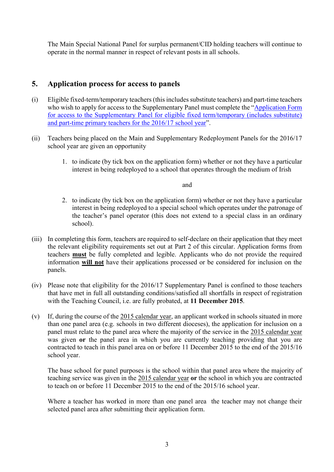The Main Special National Panel for surplus permanent/CID holding teachers will continue to operate in the normal manner in respect of relevant posts in all schools.

# **5. Application process for access to panels**

- (i) Eligible fixed-term/temporary teachers (this includes substitute teachers) and part-time teachers who wish to apply for access to the Supplementary Panel must complete the "Application Form" [for access to the Supplementary Panel for eligible fixed term/temporary \(includes substitute\)](http://www.education.ie/en/Schools-Colleges/Services/Teacher-Allocations/Teacher-Allocation/Application-form-for-access-to-the-Supplementary-Panel-2016-17.pdf)  [and part-time primary teachers for the 2016/17 school year](http://www.education.ie/en/Schools-Colleges/Services/Teacher-Allocations/Teacher-Allocation/Application-form-for-access-to-the-Supplementary-Panel-2016-17.pdf)".
- (ii) Teachers being placed on the Main and Supplementary Redeployment Panels for the 2016/17 school year are given an opportunity
	- 1. to indicate (by tick box on the application form) whether or not they have a particular interest in being redeployed to a school that operates through the medium of Irish

and

- 2. to indicate (by tick box on the application form) whether or not they have a particular interest in being redeployed to a special school which operates under the patronage of the teacher's panel operator (this does not extend to a special class in an ordinary school).
- (iii) In completing this form, teachers are required to self-declare on their application that they meet the relevant eligibility requirements set out at Part 2 of this circular. Application forms from teachers **must** be fully completed and legible. Applicants who do not provide the required information **will not** have their applications processed or be considered for inclusion on the panels.
- (iv) Please note that eligibility for the 2016/17 Supplementary Panel is confined to those teachers that have met in full all outstanding conditions/satisfied all shortfalls in respect of registration with the Teaching Council, i.e. are fully probated, at **11 December 2015**.
- (v) If, during the course of the 2015 calendar year, an applicant worked in schools situated in more than one panel area (e.g. schools in two different dioceses), the application for inclusion on a panel must relate to the panel area where the majority of the service in the 2015 calendar year was given **or** the panel area in which you are currently teaching providing that you are contracted to teach in this panel area on or before 11 December 2015 to the end of the 2015/16 school year.

The base school for panel purposes is the school within that panel area where the majority of teaching service was given in the 2015 calendar year **or** the school in which you are contracted to teach on or before 11 December 2015 to the end of the 2015/16 school year.

Where a teacher has worked in more than one panel area the teacher may not change their selected panel area after submitting their application form.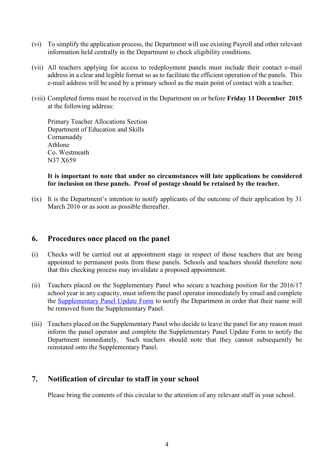- (vi) To simplify the application process, the Department will use existing Payroll and other relevant information held centrally in the Department to check eligibility conditions.
- (vii) All teachers applying for access to redeployment panels must include their contact e-mail address in a clear and legible format so as to facilitate the efficient operation of the panels. This e-mail address will be used by a primary school as the main point of contact with a teacher.
- (viii) Completed forms must be received in the Department on or before **Friday 11 December 2015** at the following address:

Primary Teacher Allocations Section Department of Education and Skills Cornamaddy Athlone Co. Westmeath N37 X659

#### **It is important to note that under no circumstances will late applications be considered for inclusion on these panels. Proof of postage should be retained by the teacher.**

(ix) It is the Department's intention to notify applicants of the outcome of their application by 31 March 2016 or as soon as possible thereafter.

## **6. Procedures once placed on the panel**

- (i) Checks will be carried out at appointment stage in respect of those teachers that are being appointed to permanent posts from these panels. Schools and teachers should therefore note that this checking process may invalidate a proposed appointment.
- (ii) Teachers placed on the Supplementary Panel who secure a teaching position for the 2016/17 school year in any capacity, must inform the panel operator immediately by email and complete the [Supplementary Panel Update Form](http://www.education.ie/en/Schools-Colleges/Services/Teacher-Allocations/Teacher-Allocation/Supplementary-Panel-Update-Form-2016-17-Form-PUF-.pdf) to notify the Department in order that their name will be removed from the Supplementary Panel.
- (iii) Teachers placed on the Supplementary Panel who decide to leave the panel for any reason must inform the panel operator and complete the Supplementary Panel Update Form to notify the Department immediately. Such teachers should note that they cannot subsequently be reinstated onto the Supplementary Panel.

## **7. Notification of circular to staff in your school**

Please bring the contents of this circular to the attention of any relevant staff in your school.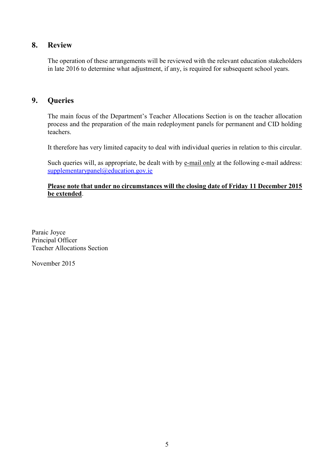## **8. Review**

The operation of these arrangements will be reviewed with the relevant education stakeholders in late 2016 to determine what adjustment, if any, is required for subsequent school years.

## **9. Queries**

The main focus of the Department's Teacher Allocations Section is on the teacher allocation process and the preparation of the main redeployment panels for permanent and CID holding teachers.

It therefore has very limited capacity to deal with individual queries in relation to this circular.

Such queries will, as appropriate, be dealt with by e-mail only at the following e-mail address: [supplementarypanel@education.gov.ie](mailto:supplementarypanel@education.gov.ie)

#### **Please note that under no circumstances will the closing date of Friday 11 December 2015 be extended**.

Paraic Joyce Principal Officer Teacher Allocations Section

November 2015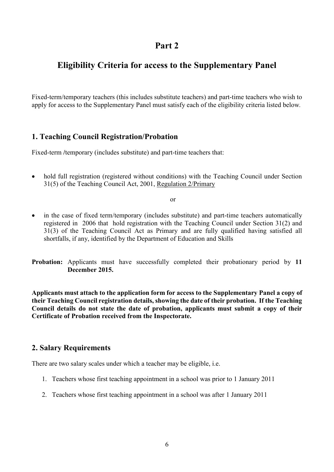# **Part 2**

# **Eligibility Criteria for access to the Supplementary Panel**

Fixed-term/temporary teachers (this includes substitute teachers) and part-time teachers who wish to apply for access to the Supplementary Panel must satisfy each of the eligibility criteria listed below*.*

## **1. Teaching Council Registration/Probation**

Fixed-term /*temporary* (includes substitute) and part-time teachers that:

• hold full registration (registered without conditions) with the Teaching Council under Section 31(5) of the Teaching Council Act, 2001, Regulation 2/Primary

or

 in the case of fixed term/temporary (includes substitute) and part-time teachers automatically registered in 2006 that hold registration with the Teaching Council under Section 31(2) and 31(3) of the Teaching Council Act as Primary and are fully qualified having satisfied all shortfalls, if any, identified by the Department of Education and Skills

**Probation:** Applicants must have successfully completed their probationary period by **11 December 2015.**

**Applicants must attach to the application form for access to the Supplementary Panel a copy of their Teaching Council registration details, showing the date of their probation. If the Teaching Council details do not state the date of probation, applicants must submit a copy of their Certificate of Probation received from the Inspectorate.**

## **2. Salary Requirements**

There are two salary scales under which a teacher may be eligible, i.e.

- 1. Teachers whose first teaching appointment in a school was prior to 1 January 2011
- 2. Teachers whose first teaching appointment in a school was after 1 January 2011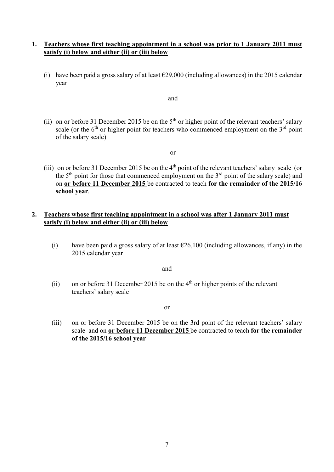#### **1. Teachers whose first teaching appointment in a school was prior to 1 January 2011 must satisfy (i) below and either (ii) or (iii) below**

(i) have been paid a gross salary of at least  $\epsilon$ 29,000 (including allowances) in the 2015 calendar year

and

(ii) on or before 31 December 2015 be on the  $5<sup>th</sup>$  or higher point of the relevant teachers' salary scale (or the  $6<sup>th</sup>$  or higher point for teachers who commenced employment on the  $3<sup>rd</sup>$  point of the salary scale)

or

(iii) on or before 31 December 2015 be on the 4th point of the relevant teachers' salary scale (or the  $5<sup>th</sup>$  point for those that commenced employment on the  $3<sup>rd</sup>$  point of the salary scale) and on **or before 11 December 2015** be contracted to teach **for the remainder of the 2015/16 school year**.

#### **2. Teachers whose first teaching appointment in a school was after 1 January 2011 must satisfy (i) below and either (ii) or (iii) below**

(i) have been paid a gross salary of at least  $\epsilon$ 26,100 (including allowances, if any) in the 2015 calendar year

and

(ii) on or before 31 December 2015 be on the  $4<sup>th</sup>$  or higher points of the relevant teachers' salary scale

or

(iii) on or before 31 December 2015 be on the 3rd point of the relevant teachers' salary scale and on **or before 11 December 2015** be contracted to teach **for the remainder of the 2015/16 school year**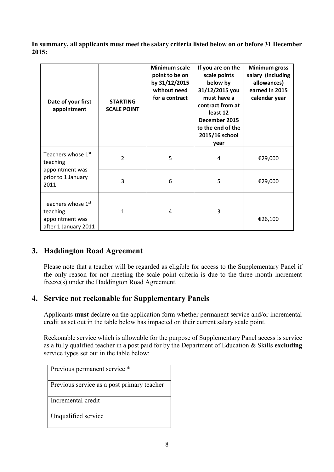**In summary, all applicants must meet the salary criteria listed below on or before 31 December 2015:**

| Date of your first<br>appointment                                         | <b>STARTING</b><br><b>SCALE POINT</b> | <b>Minimum scale</b><br>point to be on<br>by 31/12/2015<br>without need<br>for a contract | If you are on the<br>scale points<br>below by<br>31/12/2015 you<br>must have a<br>contract from at<br>least 12<br>December 2015<br>to the end of the<br>2015/16 school<br>year | <b>Minimum gross</b><br>salary (including<br>allowances)<br>earned in 2015<br>calendar year |
|---------------------------------------------------------------------------|---------------------------------------|-------------------------------------------------------------------------------------------|--------------------------------------------------------------------------------------------------------------------------------------------------------------------------------|---------------------------------------------------------------------------------------------|
| Teachers whose 1st<br>teaching                                            | $\overline{2}$                        | 5                                                                                         | 4                                                                                                                                                                              | €29,000                                                                                     |
| appointment was<br>prior to 1 January<br>2011                             | 3                                     | 6                                                                                         | 5                                                                                                                                                                              | €29,000                                                                                     |
| Teachers whose 1st<br>teaching<br>appointment was<br>after 1 January 2011 | 1                                     | 4                                                                                         | 3                                                                                                                                                                              | €26,100                                                                                     |

# **3. Haddington Road Agreement**

Please note that a teacher will be regarded as eligible for access to the Supplementary Panel if the only reason for not meeting the scale point criteria is due to the three month increment freeze(s) under the Haddington Road Agreement.

# **4. Service not reckonable for Supplementary Panels**

Applicants **must** declare on the application form whether permanent service and/or incremental credit as set out in the table below has impacted on their current salary scale point.

Reckonable service which is allowable for the purpose of Supplementary Panel access is service as a fully qualified teacher in a post paid for by the Department of Education & Skills **excluding**  service types set out in the table below:

| Previous permanent service *               |
|--------------------------------------------|
| Previous service as a post primary teacher |
| Incremental credit                         |
| Unqualified service                        |